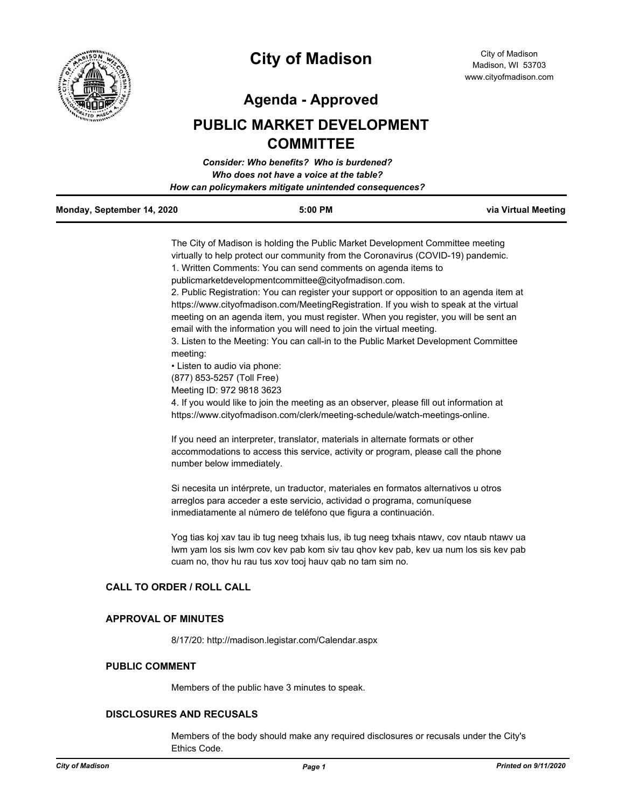

# **City of Madison**

**Agenda - Approved**

## **PUBLIC MARKET DEVELOPMENT COMMITTEE**

|                            | Consider: Who benefits? Who is burdened?               |                     |
|----------------------------|--------------------------------------------------------|---------------------|
|                            | Who does not have a voice at the table?                |                     |
|                            | How can policymakers mitigate unintended consequences? |                     |
| Monday, September 14, 2020 | $5:00$ PM                                              | via Virtual Meeting |

The City of Madison is holding the Public Market Development Committee meeting virtually to help protect our community from the Coronavirus (COVID-19) pandemic. 1. Written Comments: You can send comments on agenda items to publicmarketdevelopmentcommittee@cityofmadison.com.

2. Public Registration: You can register your support or opposition to an agenda item at https://www.cityofmadison.com/MeetingRegistration. If you wish to speak at the virtual meeting on an agenda item, you must register. When you register, you will be sent an email with the information you will need to join the virtual meeting.

3. Listen to the Meeting: You can call-in to the Public Market Development Committee meeting:

• Listen to audio via phone:

(877) 853-5257 (Toll Free)

Meeting ID: 972 9818 3623

4. If you would like to join the meeting as an observer, please fill out information at https://www.cityofmadison.com/clerk/meeting-schedule/watch-meetings-online.

If you need an interpreter, translator, materials in alternate formats or other accommodations to access this service, activity or program, please call the phone number below immediately.

Si necesita un intérprete, un traductor, materiales en formatos alternativos u otros arreglos para acceder a este servicio, actividad o programa, comuníquese inmediatamente al número de teléfono que figura a continuación.

Yog tias koj xav tau ib tug neeg txhais lus, ib tug neeg txhais ntawv, cov ntaub ntawv ua lwm yam los sis lwm cov kev pab kom siv tau qhov kev pab, kev ua num los sis kev pab cuam no, thov hu rau tus xov tooj hauv qab no tam sim no.

#### **CALL TO ORDER / ROLL CALL**

#### **APPROVAL OF MINUTES**

8/17/20: http://madison.legistar.com/Calendar.aspx

#### **PUBLIC COMMENT**

Members of the public have 3 minutes to speak.

#### **DISCLOSURES AND RECUSALS**

Members of the body should make any required disclosures or recusals under the City's Ethics Code.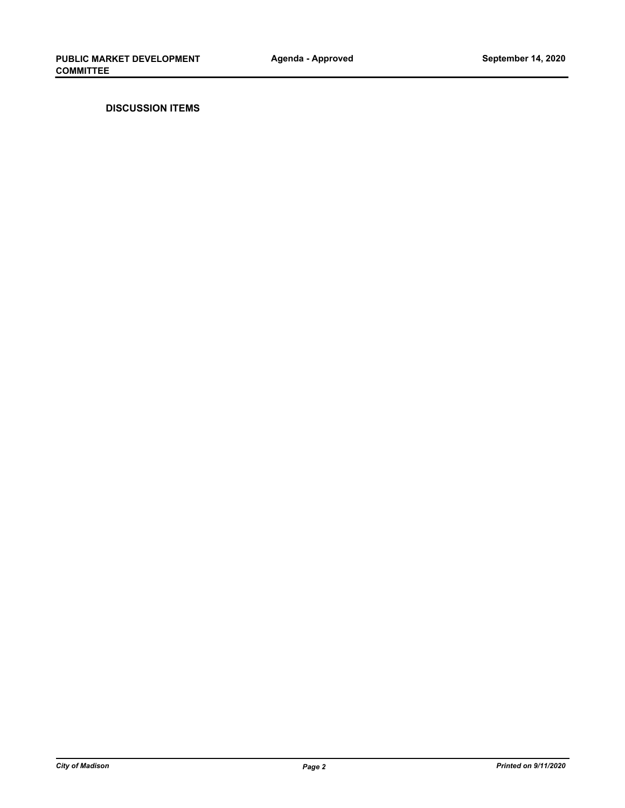**DISCUSSION ITEMS**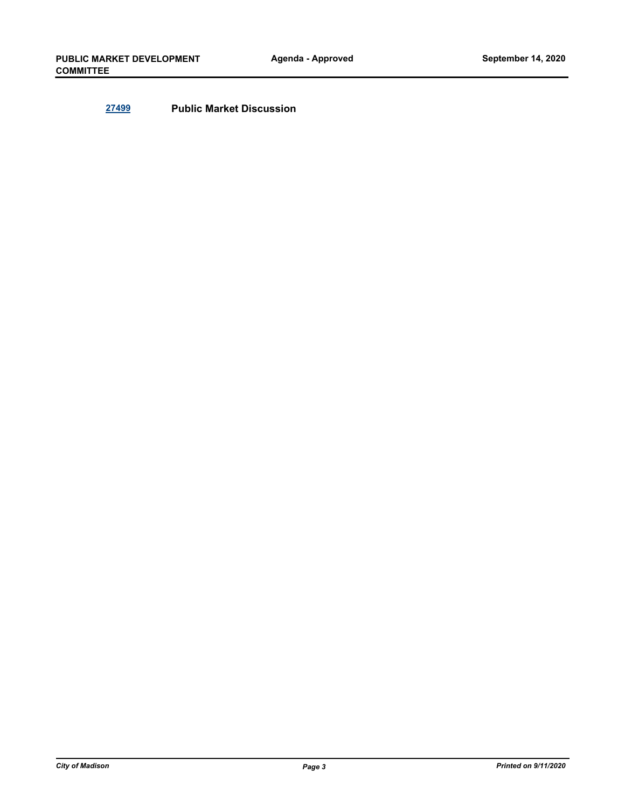**[27499](http://madison.legistar.com/gateway.aspx?m=l&id=/matter.aspx?key=30187) Public Market Discussion**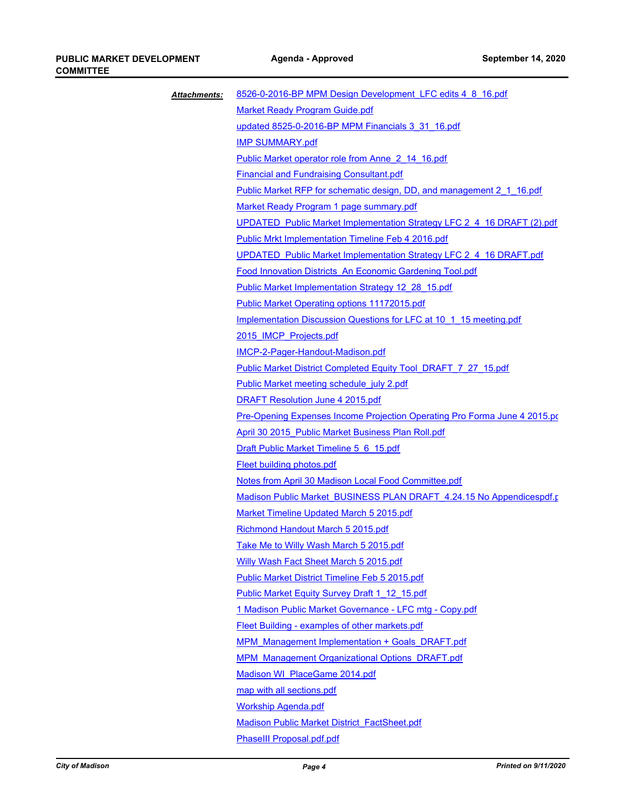| <b>Attachments:</b> | 8526-0-2016-BP MPM Design Development LFC edits 4 8 16.pdf                       |
|---------------------|----------------------------------------------------------------------------------|
|                     | <b>Market Ready Program Guide.pdf</b>                                            |
|                     | updated 8525-0-2016-BP MPM Financials 3 31 16.pdf                                |
|                     | <b>IMP SUMMARY.pdf</b>                                                           |
|                     | Public Market operator role from Anne 2 14 16.pdf                                |
|                     | <b>Financial and Fundraising Consultant.pdf</b>                                  |
|                     | Public Market RFP for schematic design, DD, and management 2 1 16.pdf            |
|                     | Market Ready Program 1 page summary.pdf                                          |
|                     | UPDATED Public Market Implementation Strategy LFC 2 4 16 DRAFT (2).pdf           |
|                     | <b>Public Mrkt Implementation Timeline Feb 4 2016.pdf</b>                        |
|                     | UPDATED Public Market Implementation Strategy LFC 2 4 16 DRAFT.pdf               |
|                     | Food Innovation Districts An Economic Gardening Tool.pdf                         |
|                     | Public Market Implementation Strategy 12 28 15.pdf                               |
|                     | <b>Public Market Operating options 11172015.pdf</b>                              |
|                     | Implementation Discussion Questions for LFC at 10 1 15 meeting.pdf               |
|                     | 2015 IMCP Projects.pdf                                                           |
|                     | <b>IMCP-2-Pager-Handout-Madison.pdf</b>                                          |
|                     | Public Market District Completed Equity Tool DRAFT 7 27 15.pdf                   |
|                     | Public Market meeting schedule july 2.pdf                                        |
|                     | <b>DRAFT Resolution June 4 2015.pdf</b>                                          |
|                     | <b>Pre-Opening Expenses Income Projection Operating Pro Forma June 4 2015.pd</b> |
|                     | April 30 2015 Public Market Business Plan Roll.pdf                               |
|                     | Draft Public Market Timeline 5 6 15.pdf                                          |
|                     | <b>Fleet building photos.pdf</b>                                                 |
|                     | Notes from April 30 Madison Local Food Committee.pdf                             |
|                     | Madison Public Market BUSINESS PLAN DRAFT 4.24.15 No Appendicespdf.r             |
|                     | Market Timeline Updated March 5 2015.pdf                                         |
|                     | Richmond Handout March 5 2015.pdf                                                |
|                     | Take Me to Willy Wash March 5 2015.pdf                                           |
|                     | <b>Willy Wash Fact Sheet March 5 2015.pdf</b>                                    |
|                     | <b>Public Market District Timeline Feb 5 2015.pdf</b>                            |
|                     | Public Market Equity Survey Draft 1 12 15.pdf                                    |
|                     | 1 Madison Public Market Governance - LFC mtg - Copy.pdf                          |
|                     | Fleet Building - examples of other markets.pdf                                   |
|                     | <b>MPM Management Implementation + Goals DRAFT.pdf</b>                           |
|                     | <b>MPM Management Organizational Options DRAFT.pdf</b>                           |
|                     | Madison WI PlaceGame 2014.pdf                                                    |
|                     | map with all sections.pdf                                                        |
|                     | <b>Workship Agenda.pdf</b>                                                       |
|                     | <b>Madison Public Market District FactSheet.pdf</b>                              |
|                     | PhaseIII Proposal.pdf.pdf                                                        |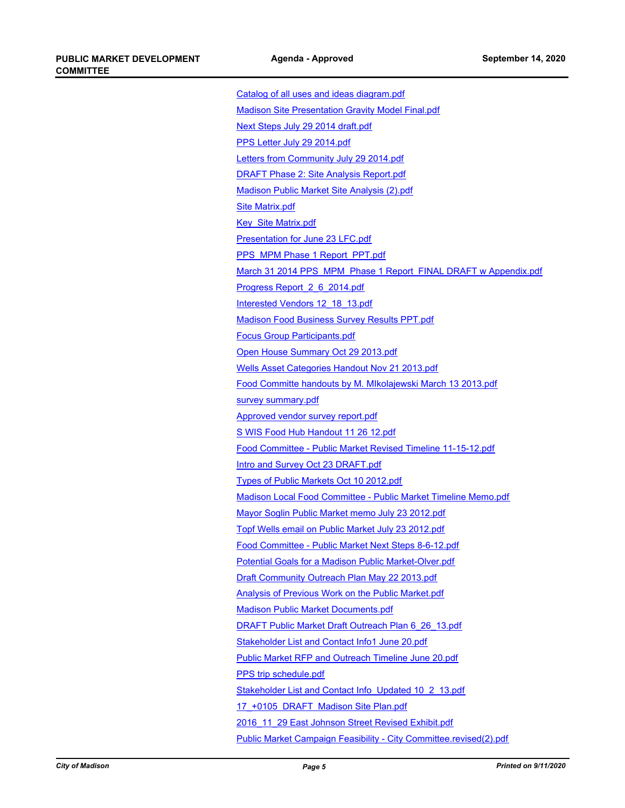[Catalog of all uses and ideas diagram.pdf](http://madison.legistar.com/gateway.aspx?M=F&ID=ddbc0139-9e12-4aab-9a1e-5ac96697bcb1.pdf) [Madison Site Presentation Gravity Model Final.pdf](http://madison.legistar.com/gateway.aspx?M=F&ID=36cf1db0-99df-472a-b936-8f5e23cf4848.pdf) [Next Steps July 29 2014 draft.pdf](http://madison.legistar.com/gateway.aspx?M=F&ID=541f9b9b-d2ae-41e1-94ae-a2e1e13dcab9.pdf) [PPS Letter July 29 2014.pdf](http://madison.legistar.com/gateway.aspx?M=F&ID=7d2a54d6-fae8-4eb5-8a23-3727ef12fa4e.pdf) [Letters from Community July 29 2014.pdf](http://madison.legistar.com/gateway.aspx?M=F&ID=d773f43f-49df-453b-86d3-01596b7224e0.pdf) [DRAFT Phase 2: Site Analysis Report.pdf](http://madison.legistar.com/gateway.aspx?M=F&ID=60642742-41b1-470b-90a7-1b311171b076.pdf) [Madison Public Market Site Analysis \(2\).pdf](http://madison.legistar.com/gateway.aspx?M=F&ID=0f339535-bec5-4247-bc85-9bd0005aaf78.pdf) [Site Matrix.pdf](http://madison.legistar.com/gateway.aspx?M=F&ID=98ea0d6d-d120-4612-b695-11b1750e98e8.pdf) [Key\\_Site Matrix.pdf](http://madison.legistar.com/gateway.aspx?M=F&ID=f2803b6a-3ee8-424e-a17c-8e8eb7a319a6.pdf) [Presentation for June 23 LFC.pdf](http://madison.legistar.com/gateway.aspx?M=F&ID=c597e598-490e-4709-a86e-ce400ce10345.pdf) [PPS\\_MPM Phase 1 Report\\_PPT.pdf](http://madison.legistar.com/gateway.aspx?M=F&ID=be5caf5a-697e-4149-a3ee-03cf62197a0f.pdf) [March 31 2014 PPS\\_MPM\\_Phase 1 Report\\_FINAL DRAFT w Appendix.pdf](http://madison.legistar.com/gateway.aspx?M=F&ID=997a6d49-9535-4438-8126-3df1771d7cbf.pdf) [Progress Report\\_2\\_6\\_2014.pdf](http://madison.legistar.com/gateway.aspx?M=F&ID=fe60b788-6e3e-4755-bafd-d9dbd18d7ecf.pdf) [Interested Vendors 12\\_18\\_13.pdf](http://madison.legistar.com/gateway.aspx?M=F&ID=007e6911-51aa-427e-96b0-cbe3cf8b87a4.pdf) [Madison Food Business Survey Results PPT.pdf](http://madison.legistar.com/gateway.aspx?M=F&ID=86b19060-84be-479f-9a1d-1251b4f43f22.pdf) [Focus Group Participants.pdf](http://madison.legistar.com/gateway.aspx?M=F&ID=a367d4e2-f309-4d80-845e-0e8299282477.pdf) [Open House Summary Oct 29 2013.pdf](http://madison.legistar.com/gateway.aspx?M=F&ID=9b365522-c7de-4d2b-94f8-57975d11f4a3.pdf) [Wells Asset Categories Handout Nov 21 2013.pdf](http://madison.legistar.com/gateway.aspx?M=F&ID=24f87d9b-db79-4ff5-9a0b-f652b3f1f33a.pdf) [Food Committe handouts by M. MIkolajewski March 13 2013.pdf](http://madison.legistar.com/gateway.aspx?M=F&ID=26200dba-2af5-4236-b21f-b9d9e8b5a917.pdf) [survey summary.pdf](http://madison.legistar.com/gateway.aspx?M=F&ID=69e65abc-cc52-40b0-a995-2653d3455958.pdf) [Approved vendor survey report.pdf](http://madison.legistar.com/gateway.aspx?M=F&ID=f1dd796a-3d78-47de-b4e0-1ee5a0500cb2.pdf) [S WIS Food Hub Handout 11 26 12.pdf](http://madison.legistar.com/gateway.aspx?M=F&ID=acdd104a-3843-4fa0-a03c-a0e9b24ad8ed.pdf) [Food Committee - Public Market Revised Timeline 11-15-12.pdf](http://madison.legistar.com/gateway.aspx?M=F&ID=fc11c4c9-1e49-418c-b39a-220541c718c9.pdf) [Intro and Survey Oct 23 DRAFT.pdf](http://madison.legistar.com/gateway.aspx?M=F&ID=3982ca47-2341-428c-9de8-8044facfcfba.pdf) [Types of Public Markets Oct 10 2012.pdf](http://madison.legistar.com/gateway.aspx?M=F&ID=864d1c6e-8bcc-4f14-8eba-41ebfe882c41.pdf) [Madison Local Food Committee - Public Market Timeline Memo.pdf](http://madison.legistar.com/gateway.aspx?M=F&ID=f5fec53d-2a59-411f-84c7-2c71b5b22be8.pdf) [Mayor Soglin Public Market memo July 23 2012.pdf](http://madison.legistar.com/gateway.aspx?M=F&ID=123fa88f-08f1-4f83-9f75-9c74d703e6b0.pdf) [Topf Wells email on Public Market July 23 2012.pdf](http://madison.legistar.com/gateway.aspx?M=F&ID=1c8c74dc-1f71-41d0-a318-862e825965d6.pdf) [Food Committee - Public Market Next Steps 8-6-12.pdf](http://madison.legistar.com/gateway.aspx?M=F&ID=c5ed80ac-02cf-4ff3-9b54-cc214a3dd7bb.pdf) [Potential Goals for a Madison Public Market-Olver.pdf](http://madison.legistar.com/gateway.aspx?M=F&ID=8557a4f2-1966-4ba5-9261-577bcebbc3c7.pdf) [Draft Community Outreach Plan May 22 2013.pdf](http://madison.legistar.com/gateway.aspx?M=F&ID=c2d5f199-a6c1-4ca1-8f76-a88fe224f4b9.pdf) [Analysis of Previous Work on the Public Market.pdf](http://madison.legistar.com/gateway.aspx?M=F&ID=5ac0fc64-7e5d-4c09-848e-a0ab02362c83.pdf) [Madison Public Market Documents.pdf](http://madison.legistar.com/gateway.aspx?M=F&ID=29993edf-f297-4432-bfeb-e10c1a859c4a.pdf) [DRAFT Public Market Draft Outreach Plan 6\\_26\\_13.pdf](http://madison.legistar.com/gateway.aspx?M=F&ID=242771b1-f270-4c44-aafe-4c4b301f83d5.pdf) [Stakeholder List and Contact Info1 June 20.pdf](http://madison.legistar.com/gateway.aspx?M=F&ID=a4cfeccf-7bfd-40a9-b494-9ef75fd87884.pdf) [Public Market RFP and Outreach Timeline June 20.pdf](http://madison.legistar.com/gateway.aspx?M=F&ID=a1c8c154-744b-4383-b37d-13a742eb14d0.pdf) [PPS trip schedule.pdf](http://madison.legistar.com/gateway.aspx?M=F&ID=7dbc015a-1de6-4257-9ef8-89272db2e12e.pdf) [Stakeholder List and Contact Info\\_Updated 10\\_2\\_13.pdf](http://madison.legistar.com/gateway.aspx?M=F&ID=cb9446ac-104f-428e-8131-f3d914fbe8e0.pdf) [17\\_+0105 DRAFT Madison Site Plan.pdf](http://madison.legistar.com/gateway.aspx?M=F&ID=c84f7e3a-5c14-4f47-8302-232ffee55ef9.pdf) [2016\\_11\\_29 East Johnson Street Revised Exhibit.pdf](http://madison.legistar.com/gateway.aspx?M=F&ID=acf17bb8-66f4-4ac4-ae4e-7087743872d5.pdf) [Public Market Campaign Feasibility - City Committee.revised\(2\).pdf](http://madison.legistar.com/gateway.aspx?M=F&ID=d5bd2e57-0fe6-40eb-a71f-b753549a2c4b.pdf)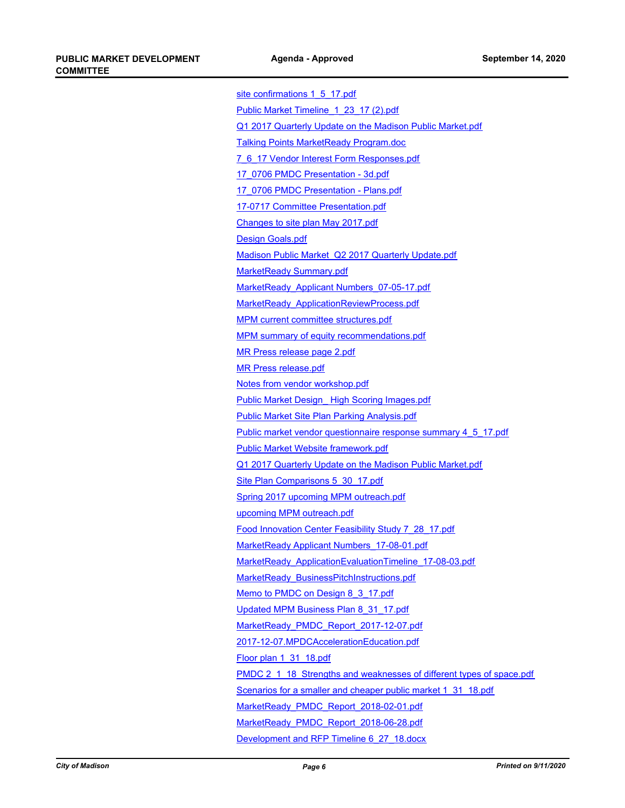| site confirmations 1 5 17.pdf                                        |
|----------------------------------------------------------------------|
| Public Market Timeline 1 23 17 (2).pdf                               |
| Q1 2017 Quarterly Update on the Madison Public Market.pdf            |
| <b>Talking Points MarketReady Program.doc</b>                        |
| 7 6 17 Vendor Interest Form Responses.pdf                            |
| 17 0706 PMDC Presentation - 3d.pdf                                   |
| 17 0706 PMDC Presentation - Plans.pdf                                |
| 17-0717 Committee Presentation.pdf                                   |
| Changes to site plan May 2017.pdf                                    |
| <b>Design Goals.pdf</b>                                              |
| Madison Public Market Q2 2017 Quarterly Update.pdf                   |
| <b>MarketReady Summary.pdf</b>                                       |
| MarketReady Applicant Numbers 07-05-17.pdf                           |
| MarketReady ApplicationReviewProcess.pdf                             |
| <b>MPM current committee structures.pdf</b>                          |
| <b>MPM summary of equity recommendations.pdf</b>                     |
| MR Press release page 2.pdf                                          |
| <b>MR Press release.pdf</b>                                          |
| Notes from vendor workshop.pdf                                       |
| <b>Public Market Design High Scoring Images.pdf</b>                  |
| <b>Public Market Site Plan Parking Analysis.pdf</b>                  |
| Public market vendor questionnaire response summary 4 5 17.pdf       |
| <b>Public Market Website framework.pdf</b>                           |
| Q1 2017 Quarterly Update on the Madison Public Market.pdf            |
| Site Plan Comparisons 5 30 17.pdf                                    |
| Spring 2017 upcoming MPM outreach.pdf                                |
| upcoming MPM outreach.pdf                                            |
| Food Innovation Center Feasibility Study 7 28 17.pdf                 |
| <u>MarketReady Applicant Numbers 17-08-01.pdf</u>                    |
| MarketReady ApplicationEvaluationTimeline 17-08-03.pdf               |
| <b>MarketReady BusinessPitchInstructions.pdf</b>                     |
| Memo to PMDC on Design 8 3 17.pdf                                    |
| Updated MPM Business Plan 8 31 17.pdf                                |
| MarketReady PMDC Report 2017-12-07.pdf                               |
| 2017-12-07.MPDCAccelerationEducation.pdf                             |
| Floor plan 1 31 18.pdf                                               |
| PMDC 2 1 18 Strengths and weaknesses of different types of space.pdf |
| Scenarios for a smaller and cheaper public market 1 31 18.pdf        |
| MarketReady PMDC Report 2018-02-01.pdf                               |
| MarketReady PMDC Report 2018-06-28.pdf                               |
| Development and RFP Timeline 6 27 18.docx                            |